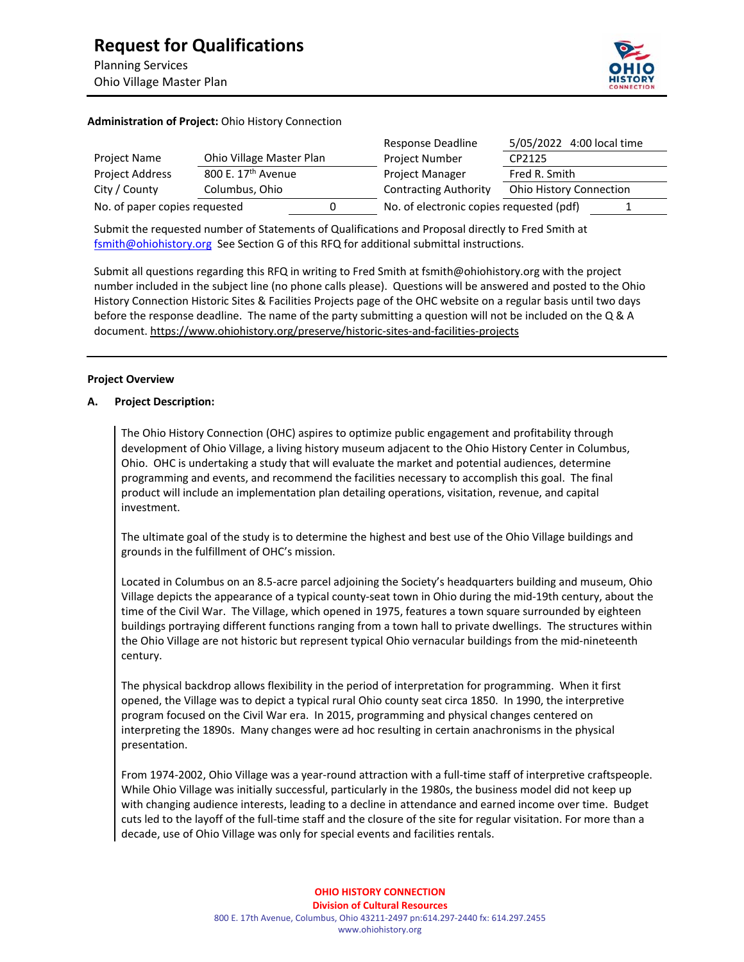

# **Administration of Project:** Ohio History Connection

|                               |                                | Response Deadline                        | 5/05/2022 4:00 local time      |
|-------------------------------|--------------------------------|------------------------------------------|--------------------------------|
| Project Name                  | Ohio Village Master Plan       | <b>Project Number</b>                    | CP2125                         |
| Project Address               | 800 E. 17 <sup>th</sup> Avenue | Project Manager                          | Fred R. Smith                  |
| City / County                 | Columbus, Ohio                 | <b>Contracting Authority</b>             | <b>Ohio History Connection</b> |
| No. of paper copies requested |                                | No. of electronic copies requested (pdf) |                                |

Submit the requested number of Statements of Qualifications and Proposal directly to Fred Smith at fsmith@ohiohistory.org See Section G of this RFQ for additional submittal instructions.

Submit all questions regarding this RFQ in writing to Fred Smith at fsmith@ohiohistory.org with the project number included in the subject line (no phone calls please). Questions will be answered and posted to the Ohio History Connection Historic Sites & Facilities Projects page of the OHC website on a regular basis until two days before the response deadline. The name of the party submitting a question will not be included on the Q & A document. https://www.ohiohistory.org/preserve/historic-sites-and-facilities-projects

## **Project Overview**

# **A. Project Description:**

The Ohio History Connection (OHC) aspires to optimize public engagement and profitability through development of Ohio Village, a living history museum adjacent to the Ohio History Center in Columbus, Ohio. OHC is undertaking a study that will evaluate the market and potential audiences, determine programming and events, and recommend the facilities necessary to accomplish this goal. The final product will include an implementation plan detailing operations, visitation, revenue, and capital investment.

The ultimate goal of the study is to determine the highest and best use of the Ohio Village buildings and grounds in the fulfillment of OHC's mission.

Located in Columbus on an 8.5‐acre parcel adjoining the Society's headquarters building and museum, Ohio Village depicts the appearance of a typical county‐seat town in Ohio during the mid‐19th century, about the time of the Civil War. The Village, which opened in 1975, features a town square surrounded by eighteen buildings portraying different functions ranging from a town hall to private dwellings. The structures within the Ohio Village are not historic but represent typical Ohio vernacular buildings from the mid-nineteenth century.

The physical backdrop allows flexibility in the period of interpretation for programming. When it first opened, the Village was to depict a typical rural Ohio county seat circa 1850. In 1990, the interpretive program focused on the Civil War era. In 2015, programming and physical changes centered on interpreting the 1890s. Many changes were ad hoc resulting in certain anachronisms in the physical presentation.

From 1974-2002, Ohio Village was a year-round attraction with a full-time staff of interpretive craftspeople. While Ohio Village was initially successful, particularly in the 1980s, the business model did not keep up with changing audience interests, leading to a decline in attendance and earned income over time.Budget cuts led to the layoff of the full‐time staff and the closure of the site for regular visitation. For more than a decade, use of Ohio Village was only for special events and facilities rentals.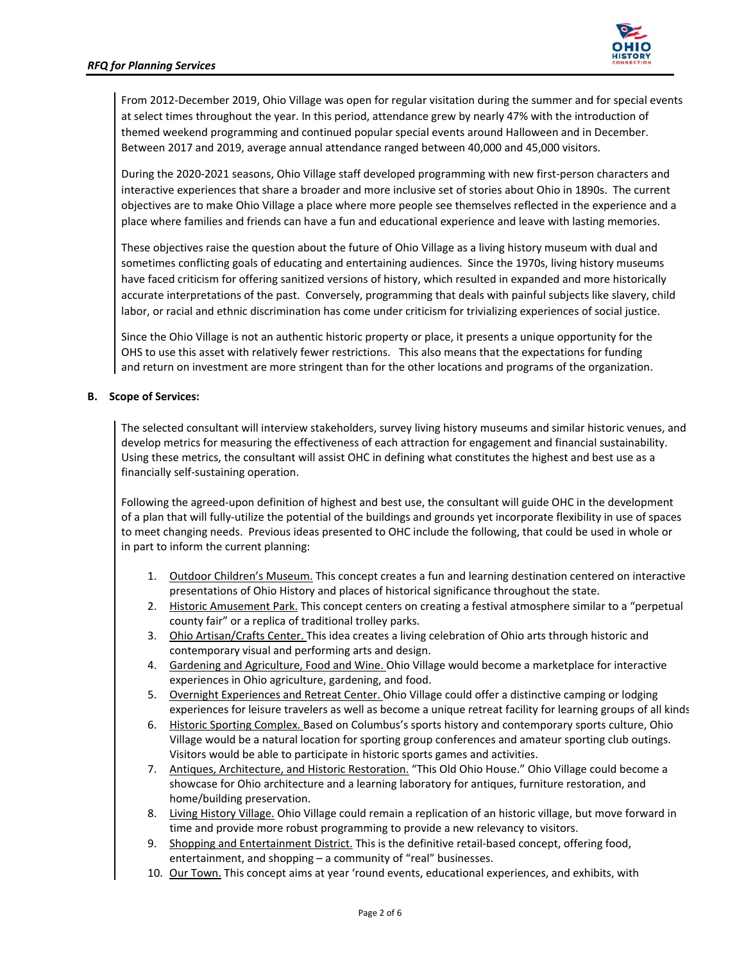

From 2012‐December 2019, Ohio Village was open for regular visitation during the summer and for special events at select times throughout the year. In this period, attendance grew by nearly 47% with the introduction of themed weekend programming and continued popular special events around Halloween and in December. Between 2017 and 2019, average annual attendance ranged between 40,000 and 45,000 visitors.

During the 2020‐2021 seasons, Ohio Village staff developed programming with new first‐person characters and interactive experiences that share a broader and more inclusive set of stories about Ohio in 1890s. The current objectives are to make Ohio Village a place where more people see themselves reflected in the experience and a place where families and friends can have a fun and educational experience and leave with lasting memories.

These objectives raise the question about the future of Ohio Village as a living history museum with dual and sometimes conflicting goals of educating and entertaining audiences. Since the 1970s, living history museums have faced criticism for offering sanitized versions of history, which resulted in expanded and more historically accurate interpretations of the past. Conversely, programming that deals with painful subjects like slavery, child labor, or racial and ethnic discrimination has come under criticism for trivializing experiences of social justice.

Since the Ohio Village is not an authentic historic property or place, it presents a unique opportunity for the OHS to use this asset with relatively fewer restrictions. This also means that the expectations for funding and return on investment are more stringent than for the other locations and programs of the organization.

# **B. Scope of Services:**

The selected consultant will interview stakeholders, survey living history museums and similar historic venues, and develop metrics for measuring the effectiveness of each attraction for engagement and financial sustainability. Using these metrics, the consultant will assist OHC in defining what constitutes the highest and best use as a financially self‐sustaining operation.

Following the agreed-upon definition of highest and best use, the consultant will guide OHC in the development of a plan that will fully‐utilize the potential of the buildings and grounds yet incorporate flexibility in use of spaces to meet changing needs. Previous ideas presented to OHC include the following, that could be used in whole or in part to inform the current planning:

- 1. Outdoor Children's Museum. This concept creates a fun and learning destination centered on interactive presentations of Ohio History and places of historical significance throughout the state.
- 2. Historic Amusement Park. This concept centers on creating a festival atmosphere similar to a "perpetual county fair" or a replica of traditional trolley parks.
- 3. Ohio Artisan/Crafts Center. This idea creates a living celebration of Ohio arts through historic and contemporary visual and performing arts and design.
- 4. Gardening and Agriculture, Food and Wine. Ohio Village would become a marketplace for interactive experiences in Ohio agriculture, gardening, and food.
- 5. Overnight Experiences and Retreat Center. Ohio Village could offer a distinctive camping or lodging experiences for leisure travelers as well as become a unique retreat facility for learning groups of all kinds
- 6. Historic Sporting Complex. Based on Columbus's sports history and contemporary sports culture, Ohio Village would be a natural location for sporting group conferences and amateur sporting club outings. Visitors would be able to participate in historic sports games and activities.
- 7. Antiques, Architecture, and Historic Restoration. "This Old Ohio House." Ohio Village could become a showcase for Ohio architecture and a learning laboratory for antiques, furniture restoration, and home/building preservation.
- 8. Living History Village. Ohio Village could remain a replication of an historic village, but move forward in time and provide more robust programming to provide a new relevancy to visitors.
- 9. Shopping and Entertainment District. This is the definitive retail-based concept, offering food, entertainment, and shopping – a community of "real" businesses.
- 10. Our Town. This concept aims at year 'round events, educational experiences, and exhibits, with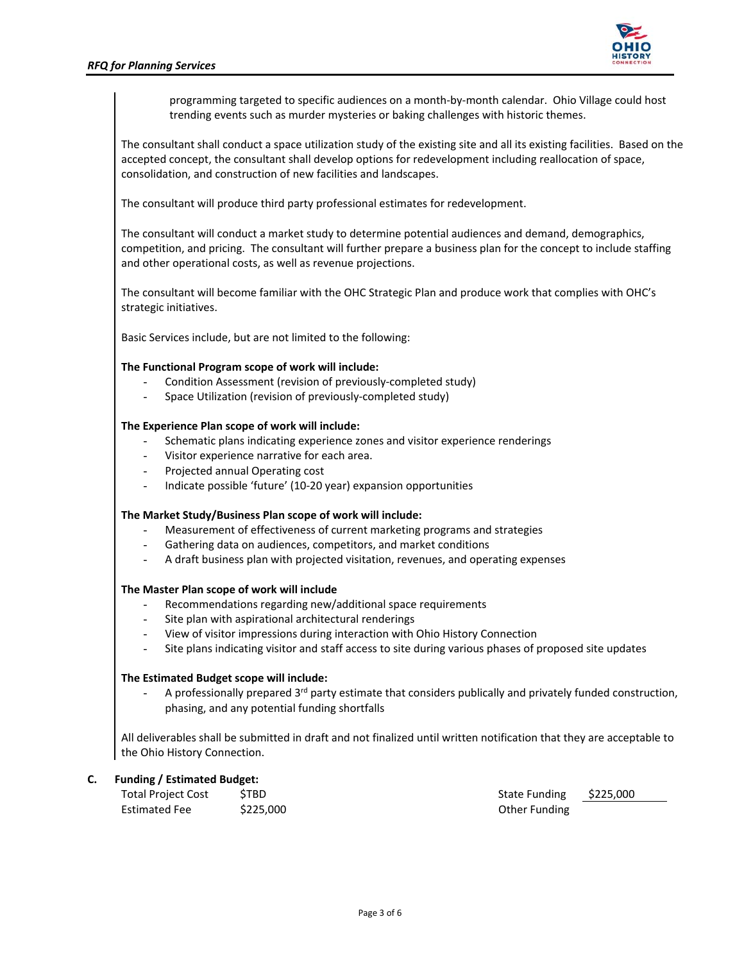

programming targeted to specific audiences on a month‐by‐month calendar. Ohio Village could host trending events such as murder mysteries or baking challenges with historic themes.

The consultant shall conduct a space utilization study of the existing site and all its existing facilities. Based on the accepted concept, the consultant shall develop options for redevelopment including reallocation of space, consolidation, and construction of new facilities and landscapes.

The consultant will produce third party professional estimates for redevelopment.

The consultant will conduct a market study to determine potential audiences and demand, demographics, competition, and pricing. The consultant will further prepare a business plan for the concept to include staffing and other operational costs, as well as revenue projections.

The consultant will become familiar with the OHC Strategic Plan and produce work that complies with OHC's strategic initiatives.

Basic Services include, but are not limited to the following:

# **The Functional Program scope of work will include:**

- Condition Assessment (revision of previously-completed study)
- Space Utilization (revision of previously-completed study)

# **The Experience Plan scope of work will include:**

- Schematic plans indicating experience zones and visitor experience renderings
- Visitor experience narrative for each area.
- Projected annual Operating cost
- Indicate possible 'future' (10‐20 year) expansion opportunities

## **The Market Study/Business Plan scope of work will include:**

- Measurement of effectiveness of current marketing programs and strategies
- Gathering data on audiences, competitors, and market conditions
- A draft business plan with projected visitation, revenues, and operating expenses

## **The Master Plan scope of work will include**

- Recommendations regarding new/additional space requirements
- Site plan with aspirational architectural renderings
- View of visitor impressions during interaction with Ohio History Connection
- Site plans indicating visitor and staff access to site during various phases of proposed site updates

# **The Estimated Budget scope will include:**

A professionally prepared  $3<sup>rd</sup>$  party estimate that considers publically and privately funded construction, phasing, and any potential funding shortfalls

All deliverables shall be submitted in draft and not finalized until written notification that they are acceptable to the Ohio History Connection.

# **C. Funding / Estimated Budget:**

| <b>Total Project Cost</b> | <b>STBD</b> |
|---------------------------|-------------|
| <b>Estimated Fee</b>      | \$225,000   |

State Funding \$225,000 **Other Funding**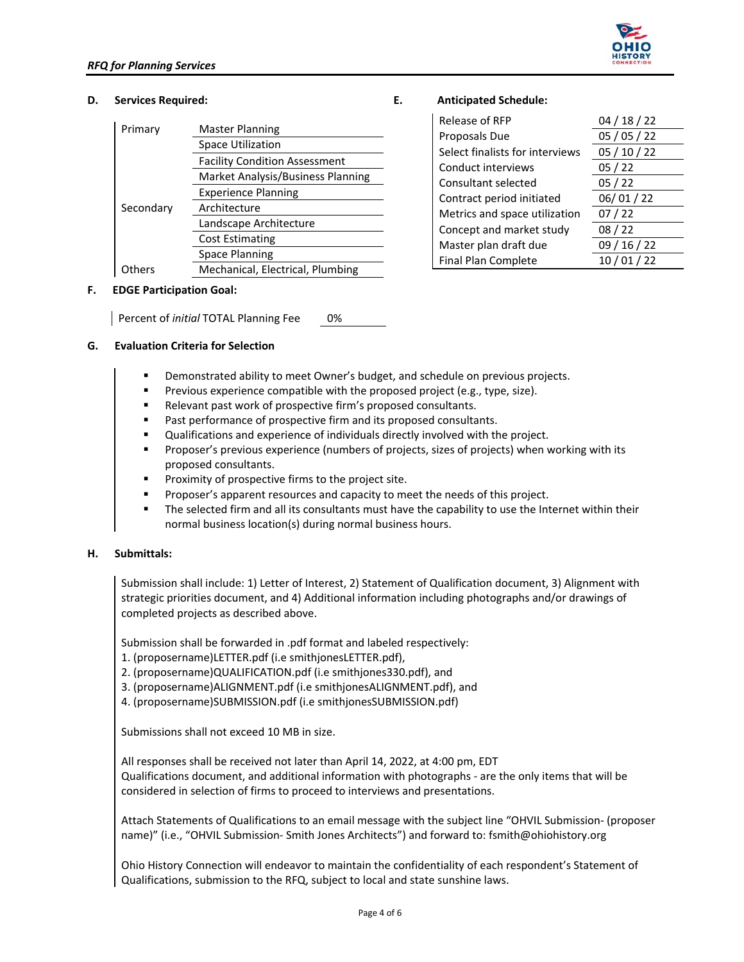

# **D. Services Required: E. Anticipated Schedule:**

| Primary   | Master Planning                      |  |
|-----------|--------------------------------------|--|
|           | <b>Space Utilization</b>             |  |
|           | <b>Facility Condition Assessment</b> |  |
|           | Market Analysis/Business Planning    |  |
|           | <b>Experience Planning</b>           |  |
| Secondary | Architecture                         |  |
|           | Landscape Architecture               |  |
|           | <b>Cost Estimating</b>               |  |
|           | Space Planning                       |  |
|           | Mechanical, Electrical, Plumbing     |  |

# **F. EDGE Participation Goal:**

Percent of *initial* TOTAL Planning Fee 0%

# **G. Evaluation Criteria for Selection**

- Demonstrated ability to meet Owner's budget, and schedule on previous projects.
- Previous experience compatible with the proposed project (e.g., type, size).
- Relevant past work of prospective firm's proposed consultants.
- Past performance of prospective firm and its proposed consultants.
- Qualifications and experience of individuals directly involved with the project.
- Proposer's previous experience (numbers of projects, sizes of projects) when working with its proposed consultants.
- Proximity of prospective firms to the project site.
- Proposer's apparent resources and capacity to meet the needs of this project.
- The selected firm and all its consultants must have the capability to use the Internet within their normal business location(s) during normal business hours.

## **H. Submittals:**

Submission shall include: 1) Letter of Interest, 2) Statement of Qualification document, 3) Alignment with strategic priorities document, and 4) Additional information including photographs and/or drawings of completed projects as described above.

Submission shall be forwarded in .pdf format and labeled respectively:

- 1. (proposername)LETTER.pdf (i.e smithjonesLETTER.pdf),
- 2. (proposername)QUALIFICATION.pdf (i.e smithjones330.pdf), and
- 3. (proposername)ALIGNMENT.pdf (i.e smithjonesALIGNMENT.pdf), and
- 4. (proposername)SUBMISSION.pdf (i.e smithjonesSUBMISSION.pdf)

Submissions shall not exceed 10 MB in size.

All responses shall be received not later than April 14, 2022, at 4:00 pm, EDT Qualifications document, and additional information with photographs ‐ are the only items that will be considered in selection of firms to proceed to interviews and presentations.

Attach Statements of Qualifications to an email message with the subject line "OHVIL Submission‐ (proposer name)" (i.e., "OHVIL Submission‐ Smith Jones Architects") and forward to: fsmith@ohiohistory.org

Ohio History Connection will endeavor to maintain the confidentiality of each respondent's Statement of Qualifications, submission to the RFQ, subject to local and state sunshine laws.

| Release of RFP                  | 04/18/22 |
|---------------------------------|----------|
| Proposals Due                   | 05/05/22 |
| Select finalists for interviews | 05/10/22 |
| Conduct interviews              | 05/22    |
| Consultant selected             | 05/22    |
| Contract period initiated       | 06/01/22 |
| Metrics and space utilization   | 07/22    |
| Concept and market study        | 08/22    |
| Master plan draft due           | 09/16/22 |
| Final Plan Complete             | 10/01/22 |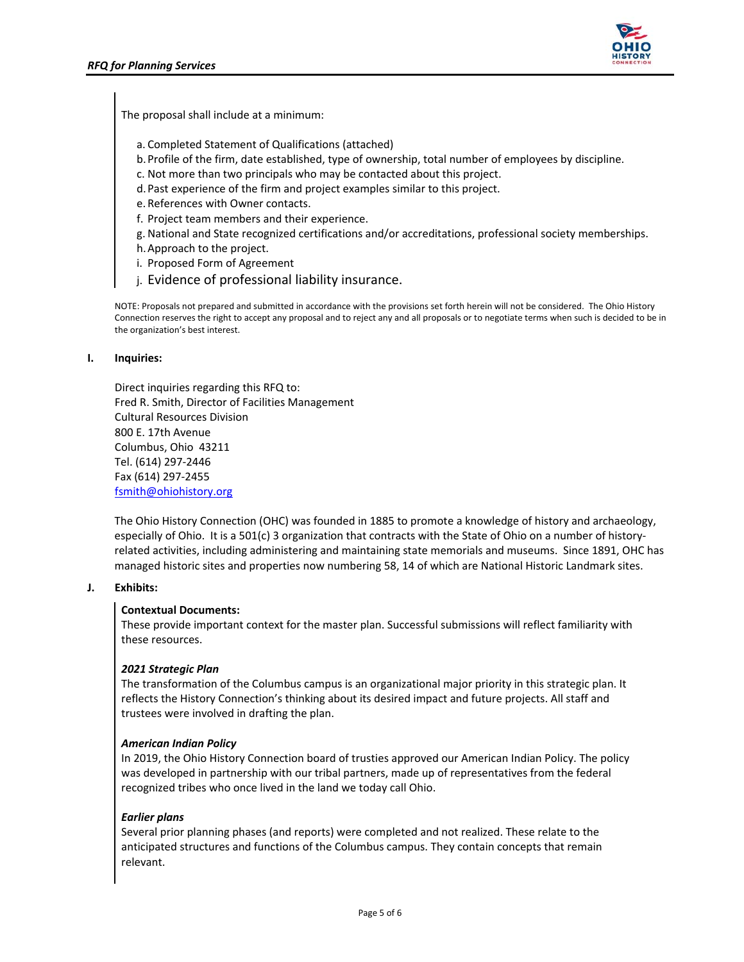

The proposal shall include at a minimum:

- a. Completed Statement of Qualifications (attached)
- b.Profile of the firm, date established, type of ownership, total number of employees by discipline.
- c. Not more than two principals who may be contacted about this project.
- d.Past experience of the firm and project examples similar to this project.
- e. References with Owner contacts.
- f. Project team members and their experience.
- g. National and State recognized certifications and/or accreditations, professional society memberships.
- h.Approach to the project.
- i. Proposed Form of Agreement
- j. Evidence of professional liability insurance.

NOTE: Proposals not prepared and submitted in accordance with the provisions set forth herein will not be considered. The Ohio History Connection reserves the right to accept any proposal and to reject any and all proposals or to negotiate terms when such is decided to be in the organization's best interest.

#### **I. Inquiries:**

Direct inquiries regarding this RFQ to: Fred R. Smith, Director of Facilities Management Cultural Resources Division 800 E. 17th Avenue Columbus, Ohio 43211 Tel. (614) 297‐2446 Fax (614) 297‐2455 fsmith@ohiohistory.org

The Ohio History Connection (OHC) was founded in 1885 to promote a knowledge of history and archaeology, especially of Ohio. It is a 501(c) 3 organization that contracts with the State of Ohio on a number of historyrelated activities, including administering and maintaining state memorials and museums. Since 1891, OHC has managed historic sites and properties now numbering 58, 14 of which are National Historic Landmark sites.

# **J. Exhibits:**

## **Contextual Documents:**

These provide important context for the master plan. Successful submissions will reflect familiarity with these resources.

## *2021 Strategic Plan*

The transformation of the Columbus campus is an organizational major priority in this strategic plan. It reflects the History Connection's thinking about its desired impact and future projects. All staff and trustees were involved in drafting the plan.

## *American Indian Policy*

In 2019, the Ohio History Connection board of trusties approved our American Indian Policy. The policy was developed in partnership with our tribal partners, made up of representatives from the federal recognized tribes who once lived in the land we today call Ohio.

## *Earlier plans*

Several prior planning phases (and reports) were completed and not realized. These relate to the anticipated structures and functions of the Columbus campus. They contain concepts that remain relevant.